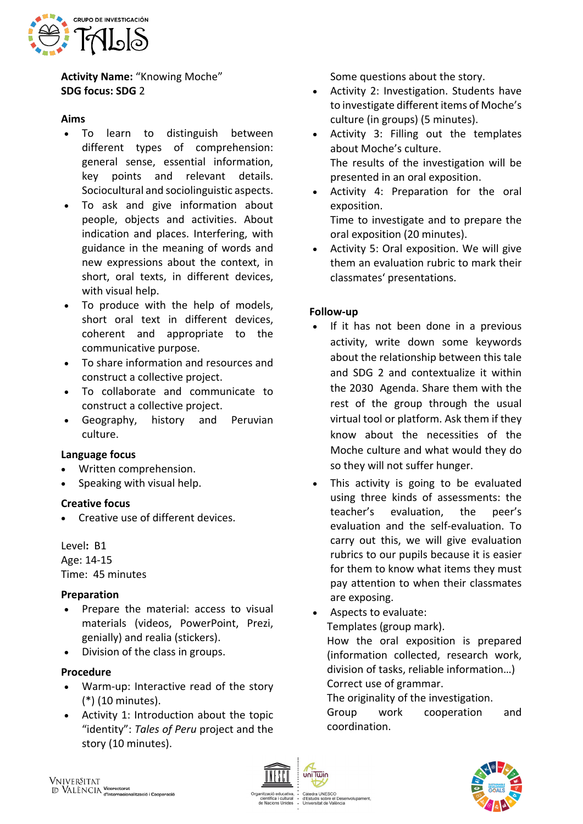

**Activity Name:** "Knowing Moche" **SDG focus: SDG** 2

#### **Aims**

- To learn to distinguish between different types of comprehension: general sense, essential information, key points and relevant details. Sociocultural and sociolinguistic aspects.
- To ask and give information about people, objects and activities. About indication and places. Interfering, with guidance in the meaning of words and new expressions about the context, in short, oral texts, in different devices, with visual help.
- To produce with the help of models, short oral text in different devices, coherent and appropriate to the communicative purpose.
- To share information and resources and construct a collective project.
- To collaborate and communicate to construct a collective project.
- Geography, history and Peruvian culture.

### **Language focus**

- Written comprehension.
- Speaking with visual help.

### **Creative focus**

• Creative use of different devices.

Level**:** B1

Age: 14-15 Time: 45 minutes

# **Preparation**

- Prepare the material: access to visual materials (videos, PowerPoint, Prezi, genially) and realia (stickers).
- Division of the class in groups.

### **Procedure**

- Warm-up: Interactive read of the story (\*) (10 minutes).
- Activity 1: Introduction about the topic "identity": *Tales of Peru* project and the story (10 minutes).

Some questions about the story.

- Activity 2: Investigation. Students have to investigate different items of Moche's culture (in groups) (5 minutes).
- Activity 3: Filling out the templates about Moche's culture. The results of the investigation will be presented in an oral exposition.
- Activity 4: Preparation for the oral exposition.
	- Time to investigate and to prepare the oral exposition (20 minutes).
- Activity 5: Oral exposition. We will give them an evaluation rubric to mark their classmates' presentations.

## **Follow-up**

- If it has not been done in a previous activity, write down some keywords about the relationship between this tale and SDG 2 and contextualize it within the 2030 Agenda. Share them with the rest of the group through the usual virtual tool or platform. Ask them if they know about the necessities of the Moche culture and what would they do so they will not suffer hunger.
- This activity is going to be evaluated using three kinds of assessments: the teacher's evaluation, the peer's evaluation and the self-evaluation. To carry out this, we will give evaluation rubrics to our pupils because it is easier for them to know what items they must pay attention to when their classmates are exposing.
- Aspects to evaluate: Templates (group mark). How the oral exposition is prepared (information collected, research work, division of tasks, reliable information…)

Correct use of grammar.

The originality of the investigation.

Group work cooperation and coordination.



uis sobre el Des<br>sitat de València